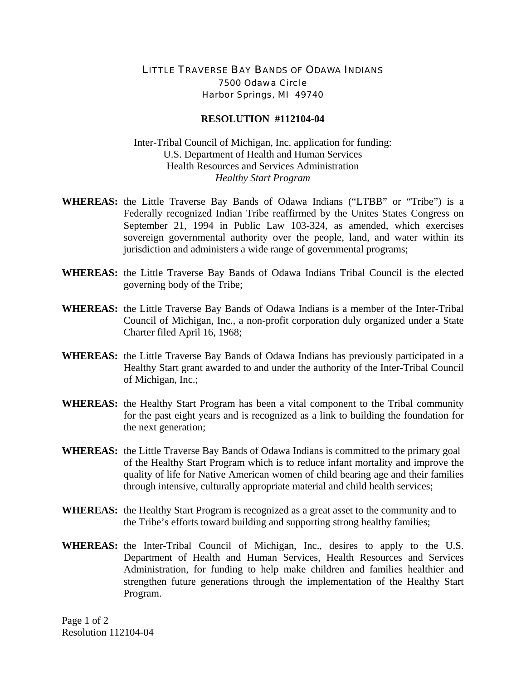## LITTLE TRAVERSE BAY BANDS OF ODAWA INDIANS 7500 Odawa Circle Harbor Springs, MI 49740

## **RESOLUTION #112104-04**

Inter-Tribal Council of Michigan, Inc. application for funding: U.S. Department of Health and Human Services Health Resources and Services Administration *Healthy Start Program* 

- **WHEREAS:** the Little Traverse Bay Bands of Odawa Indians ("LTBB" or "Tribe") is a Federally recognized Indian Tribe reaffirmed by the Unites States Congress on September 21, 1994 in Public Law 103-324, as amended, which exercises sovereign governmental authority over the people, land, and water within its jurisdiction and administers a wide range of governmental programs;
- **WHEREAS:** the Little Traverse Bay Bands of Odawa Indians Tribal Council is the elected governing body of the Tribe;
- **WHEREAS:** the Little Traverse Bay Bands of Odawa Indians is a member of the Inter-Tribal Council of Michigan, Inc., a non-profit corporation duly organized under a State Charter filed April 16, 1968;
- **WHEREAS:** the Little Traverse Bay Bands of Odawa Indians has previously participated in a Healthy Start grant awarded to and under the authority of the Inter-Tribal Council of Michigan, Inc.;
- **WHEREAS:** the Healthy Start Program has been a vital component to the Tribal community for the past eight years and is recognized as a link to building the foundation for the next generation;
- **WHEREAS:** the Little Traverse Bay Bands of Odawa Indians is committed to the primary goal of the Healthy Start Program which is to reduce infant mortality and improve the quality of life for Native American women of child bearing age and their families through intensive, culturally appropriate material and child health services;
- **WHEREAS:** the Healthy Start Program is recognized as a great asset to the community and to the Tribe's efforts toward building and supporting strong healthy families;
- **WHEREAS:** the Inter-Tribal Council of Michigan, Inc., desires to apply to the U.S. Department of Health and Human Services, Health Resources and Services Administration, for funding to help make children and families healthier and strengthen future generations through the implementation of the Healthy Start Program.

Page 1 of 2 Resolution 112104-04